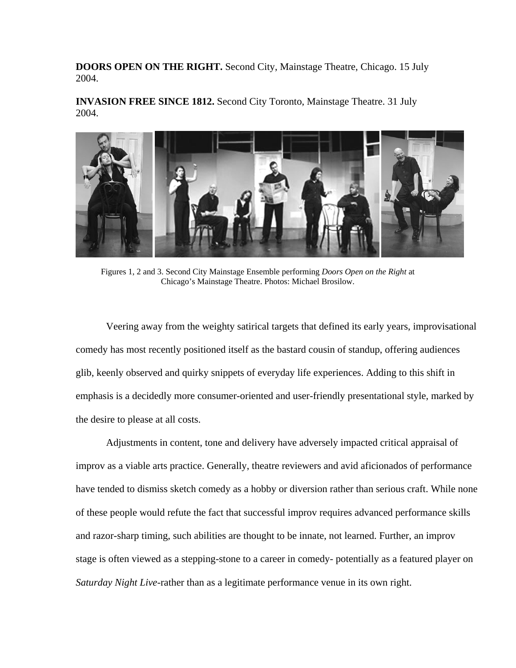**DOORS OPEN ON THE RIGHT.** Second City, Mainstage Theatre, Chicago. 15 July 2004.

**INVASION FREE SINCE 1812.** Second City Toronto, Mainstage Theatre. 31 July 2004.



Figures 1, 2 and 3. Second City Mainstage Ensemble performing *Doors Open on the Right* at Chicago's Mainstage Theatre. Photos: Michael Brosilow.

Veering away from the weighty satirical targets that defined its early years, improvisational comedy has most recently positioned itself as the bastard cousin of standup, offering audiences glib, keenly observed and quirky snippets of everyday life experiences. Adding to this shift in emphasis is a decidedly more consumer-oriented and user-friendly presentational style, marked by the desire to please at all costs.

Adjustments in content, tone and delivery have adversely impacted critical appraisal of improv as a viable arts practice. Generally, theatre reviewers and avid aficionados of performance have tended to dismiss sketch comedy as a hobby or diversion rather than serious craft. While none of these people would refute the fact that successful improv requires advanced performance skills and razor-sharp timing, such abilities are thought to be innate, not learned. Further, an improv stage is often viewed as a stepping-stone to a career in comedy- potentially as a featured player on *Saturday Night Live-*rather than as a legitimate performance venue in its own right.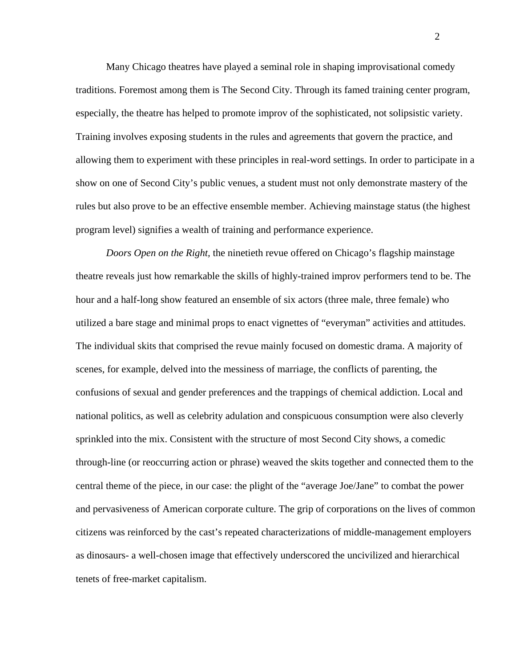Many Chicago theatres have played a seminal role in shaping improvisational comedy traditions. Foremost among them is The Second City. Through its famed training center program, especially, the theatre has helped to promote improv of the sophisticated, not solipsistic variety. Training involves exposing students in the rules and agreements that govern the practice, and allowing them to experiment with these principles in real-word settings. In order to participate in a show on one of Second City's public venues, a student must not only demonstrate mastery of the rules but also prove to be an effective ensemble member. Achieving mainstage status (the highest program level) signifies a wealth of training and performance experience.

*Doors Open on the Right,* the ninetieth revue offered on Chicago's flagship mainstage theatre reveals just how remarkable the skills of highly-trained improv performers tend to be. The hour and a half-long show featured an ensemble of six actors (three male, three female) who utilized a bare stage and minimal props to enact vignettes of "everyman" activities and attitudes. The individual skits that comprised the revue mainly focused on domestic drama. A majority of scenes, for example, delved into the messiness of marriage, the conflicts of parenting, the confusions of sexual and gender preferences and the trappings of chemical addiction. Local and national politics, as well as celebrity adulation and conspicuous consumption were also cleverly sprinkled into the mix. Consistent with the structure of most Second City shows, a comedic through-line (or reoccurring action or phrase) weaved the skits together and connected them to the central theme of the piece, in our case: the plight of the "average Joe/Jane" to combat the power and pervasiveness of American corporate culture. The grip of corporations on the lives of common citizens was reinforced by the cast's repeated characterizations of middle-management employers as dinosaurs- a well-chosen image that effectively underscored the uncivilized and hierarchical tenets of free-market capitalism.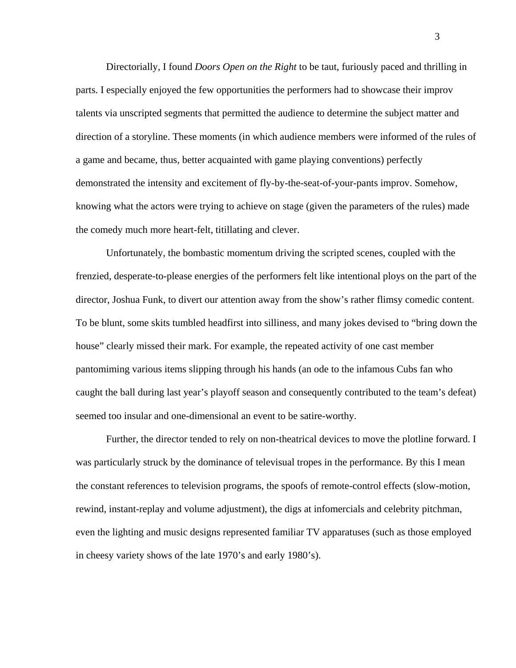Directorially, I found *Doors Open on the Right* to be taut, furiously paced and thrilling in parts. I especially enjoyed the few opportunities the performers had to showcase their improv talents via unscripted segments that permitted the audience to determine the subject matter and direction of a storyline. These moments (in which audience members were informed of the rules of a game and became, thus, better acquainted with game playing conventions) perfectly demonstrated the intensity and excitement of fly-by-the-seat-of-your-pants improv. Somehow, knowing what the actors were trying to achieve on stage (given the parameters of the rules) made the comedy much more heart-felt, titillating and clever.

Unfortunately, the bombastic momentum driving the scripted scenes, coupled with the frenzied, desperate-to-please energies of the performers felt like intentional ploys on the part of the director, Joshua Funk, to divert our attention away from the show's rather flimsy comedic content. To be blunt, some skits tumbled headfirst into silliness, and many jokes devised to "bring down the house" clearly missed their mark. For example, the repeated activity of one cast member pantomiming various items slipping through his hands (an ode to the infamous Cubs fan who caught the ball during last year's playoff season and consequently contributed to the team's defeat) seemed too insular and one-dimensional an event to be satire-worthy.

Further, the director tended to rely on non-theatrical devices to move the plotline forward. I was particularly struck by the dominance of televisual tropes in the performance. By this I mean the constant references to television programs, the spoofs of remote-control effects (slow-motion, rewind, instant-replay and volume adjustment), the digs at infomercials and celebrity pitchman, even the lighting and music designs represented familiar TV apparatuses (such as those employed in cheesy variety shows of the late 1970's and early 1980's).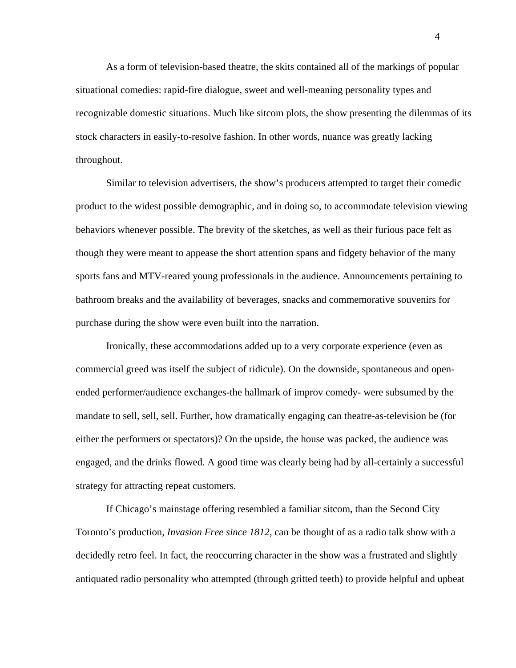As a form of television-based theatre, the skits contained all of the markings of popular situational comedies: rapid-fire dialogue, sweet and well-meaning personality types and recognizable domestic situations. Much like sitcom plots, the show presenting the dilemmas of its stock characters in easily-to-resolve fashion. In other words, nuance was greatly lacking throughout.

Similar to television advertisers, the show's producers attempted to target their comedic product to the widest possible demographic, and in doing so, to accommodate television viewing behaviors whenever possible. The brevity of the sketches, as well as their furious pace felt as though they were meant to appease the short attention spans and fidgety behavior of the many sports fans and MTV-reared young professionals in the audience. Announcements pertaining to bathroom breaks and the availability of beverages, snacks and commemorative souvenirs for purchase during the show were even built into the narration.

Ironically, these accommodations added up to a very corporate experience (even as commercial greed was itself the subject of ridicule). On the downside, spontaneous and openended performer/audience exchanges-the hallmark of improv comedy- were subsumed by the mandate to sell, sell, sell. Further, how dramatically engaging can theatre-as-television be (for either the performers or spectators)? On the upside, the house was packed, the audience was engaged, and the drinks flowed. A good time was clearly being had by all-certainly a successful strategy for attracting repeat customers.

If Chicago's mainstage offering resembled a familiar sitcom, than the Second City Toronto's production, *Invasion Free since 1812,* can be thought of as a radio talk show with a decidedly retro feel. In fact, the reoccurring character in the show was a frustrated and slightly antiquated radio personality who attempted (through gritted teeth) to provide helpful and upbeat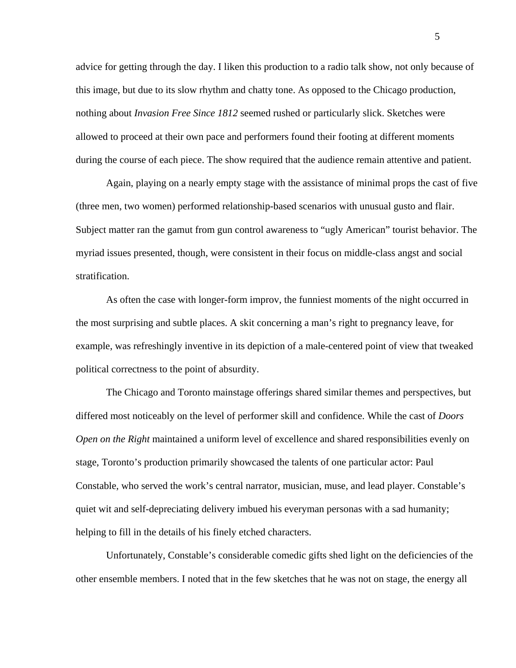advice for getting through the day. I liken this production to a radio talk show, not only because of this image, but due to its slow rhythm and chatty tone. As opposed to the Chicago production, nothing about *Invasion Free Since 1812* seemed rushed or particularly slick. Sketches were allowed to proceed at their own pace and performers found their footing at different moments during the course of each piece. The show required that the audience remain attentive and patient.

Again, playing on a nearly empty stage with the assistance of minimal props the cast of five (three men, two women) performed relationship-based scenarios with unusual gusto and flair. Subject matter ran the gamut from gun control awareness to "ugly American" tourist behavior. The myriad issues presented, though, were consistent in their focus on middle-class angst and social stratification.

As often the case with longer-form improv, the funniest moments of the night occurred in the most surprising and subtle places. A skit concerning a man's right to pregnancy leave, for example, was refreshingly inventive in its depiction of a male-centered point of view that tweaked political correctness to the point of absurdity.

The Chicago and Toronto mainstage offerings shared similar themes and perspectives, but differed most noticeably on the level of performer skill and confidence. While the cast of *Doors Open on the Right* maintained a uniform level of excellence and shared responsibilities evenly on stage, Toronto's production primarily showcased the talents of one particular actor: Paul Constable, who served the work's central narrator, musician, muse, and lead player. Constable's quiet wit and self-depreciating delivery imbued his everyman personas with a sad humanity; helping to fill in the details of his finely etched characters.

Unfortunately, Constable's considerable comedic gifts shed light on the deficiencies of the other ensemble members. I noted that in the few sketches that he was not on stage, the energy all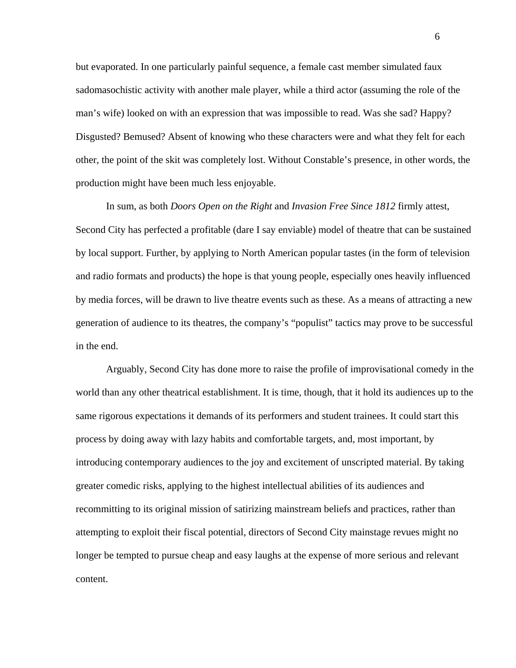but evaporated. In one particularly painful sequence, a female cast member simulated faux sadomasochistic activity with another male player, while a third actor (assuming the role of the man's wife) looked on with an expression that was impossible to read. Was she sad? Happy? Disgusted? Bemused? Absent of knowing who these characters were and what they felt for each other, the point of the skit was completely lost. Without Constable's presence, in other words, the production might have been much less enjoyable.

In sum, as both *Doors Open on the Right* and *Invasion Free Since 1812* firmly attest, Second City has perfected a profitable (dare I say enviable) model of theatre that can be sustained by local support. Further, by applying to North American popular tastes (in the form of television and radio formats and products) the hope is that young people, especially ones heavily influenced by media forces, will be drawn to live theatre events such as these. As a means of attracting a new generation of audience to its theatres, the company's "populist" tactics may prove to be successful in the end.

Arguably, Second City has done more to raise the profile of improvisational comedy in the world than any other theatrical establishment. It is time, though, that it hold its audiences up to the same rigorous expectations it demands of its performers and student trainees. It could start this process by doing away with lazy habits and comfortable targets, and, most important, by introducing contemporary audiences to the joy and excitement of unscripted material. By taking greater comedic risks, applying to the highest intellectual abilities of its audiences and recommitting to its original mission of satirizing mainstream beliefs and practices, rather than attempting to exploit their fiscal potential, directors of Second City mainstage revues might no longer be tempted to pursue cheap and easy laughs at the expense of more serious and relevant content.